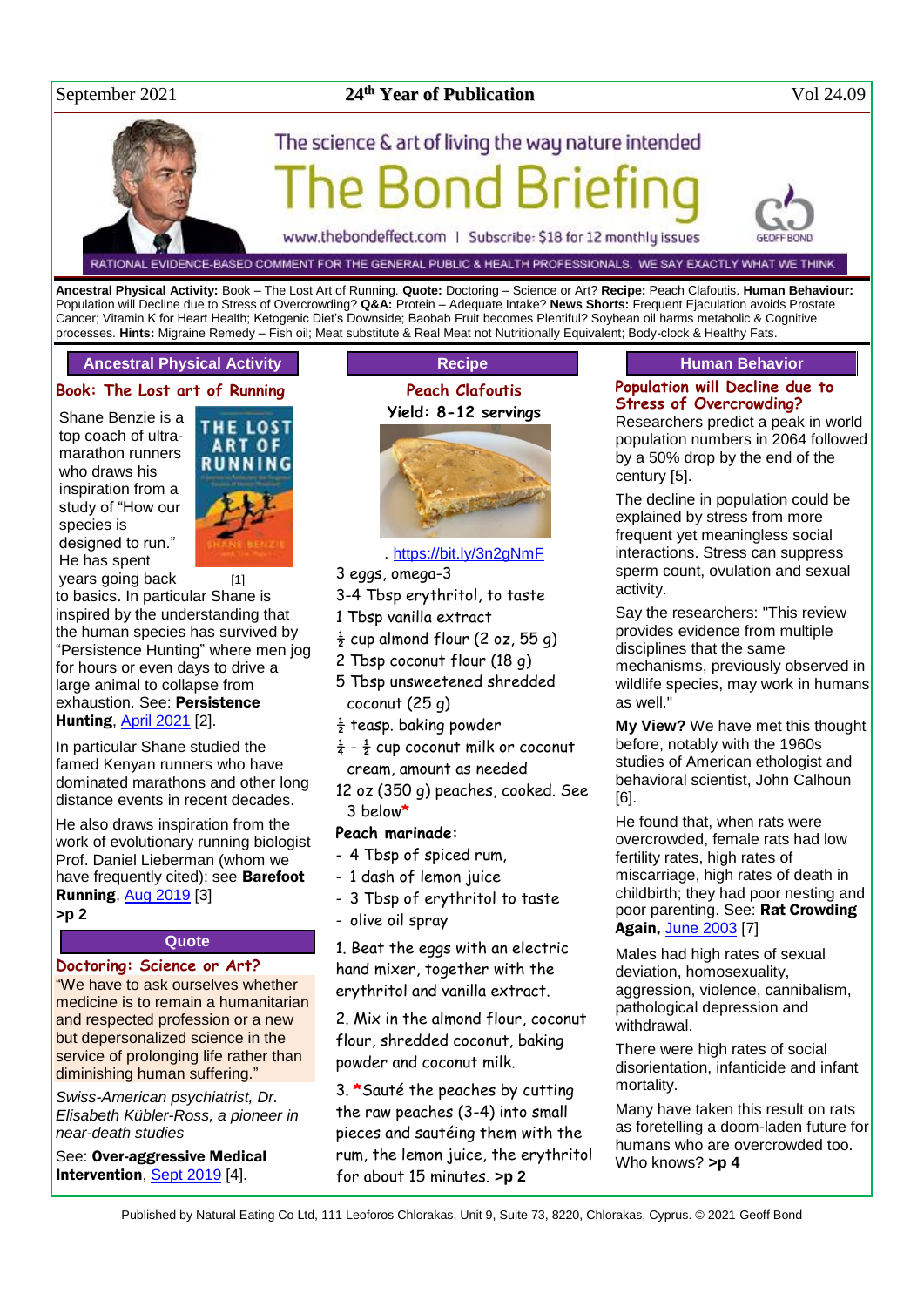#### September 2021

## **24<sup>th</sup> Year of Publication** Vol 24.09

# The science & art of living the way nature intended

www.thebondeffect.com | Subscribe: \$18 for 12 monthly issues

RATIONAL EVIDENCE-BASED COMMENT FOR THE GENERAL PUBLIC & HEALTH PROFESSIONALS. WE SAY EXACTLY WHAT WE THINK

**Ancestral Physical Activity:** Book – The Lost Art of Running. **Quote:** Doctoring – Science or Art? **Recipe:** Peach Clafoutis. **Human Behaviour:**  Population will Decline due to Stress of Overcrowding? **Q&A:** Protein – Adequate Intake? **News Shorts:** Frequent Ejaculation avoids Prostate Cancer; Vitamin K for Heart Health; Ketogenic Diet's Downside; Baobab Fruit becomes Plentiful? Soybean oil harms metabolic & Cognitive processes. **Hints:** Migraine Remedy – Fish oil; Meat substitute & Real Meat not Nutritionally Equivalent; Body-clock & Healthy Fats.

#### **Ancestral Physical Activity**

#### **Book: The Lost art of Running**

Shane Benzie is a top coach of ultramarathon runners who draws his inspiration from a study of "How our species is designed to run." He has spent



years going back [1] to basics. In particular Shane is inspired by the understanding that the human species has survived by "Persistence Hunting" where men jog for hours or even days to drive a large animal to collapse from exhaustion. See: Persistence Hunting, [April 2021](http://www.naturaleater.com/NEWSLETTER-ARCHIVE/NEWS-2021/NEWS-2021-04.pdf) [2].

In particular Shane studied the famed Kenyan runners who have dominated marathons and other long distance events in recent decades.

He also draws inspiration from the work of evolutionary running biologist Prof. Daniel Lieberman (whom we have frequently cited): see **Barefoot Running, [Aug 2019](http://www.naturaleater.com/NEWSLETTER-ARCHIVE/NEWS-2019/news-2019-08.pdf)** [3]

**>p 2**

#### **Quote**

#### **Doctoring: Science or Art?**

"We have to ask ourselves whether medicine is to remain a humanitarian and respected profession or a new but depersonalized science in the service of prolonging life rather than diminishing human suffering."

*Swiss-American psychiatrist, Dr. Elisabeth Kübler-Ross, a pioneer in near-death studies*

See: Over-aggressive Medical Intervention, [Sept 2019](http://www.naturaleater.com/NEWSLETTER-ARCHIVE/NEWS-2019/news-2019-09.pdf) [4].

## **Recipe Peach Clafoutis**



#### . <https://bit.ly/3n2gNmF>

- 3 eggs, omega-3
- 3-4 Tbsp erythritol, to taste
- 1 Tbsp vanilla extract
- $\frac{1}{2}$  cup almond flour (2 oz, 55 g)
- 2 Tbsp coconut flour (18 g)
- 5 Tbsp unsweetened shredded coconut (25 g)
- $\frac{1}{2}$  teasp. baking powder
- $\frac{1}{4}$   $\frac{1}{2}$  cup coconut milk or coconut cream, amount as needed
- 12 oz (350 g) peaches, cooked. See 3 below**\***

#### **Peach marinade:**

- 4 Tbsp of spiced rum,
- 1 dash of lemon juice
- 3 Tbsp of erythritol to taste
- olive oil spray

1. Beat the eggs with an electric hand mixer, together with the erythritol and vanilla extract.

2. Mix in the almond flour, coconut flour, shredded coconut, baking powder and coconut milk.

3. **\***Sauté the peaches by cutting the raw peaches (3-4) into small pieces and sautéing them with the rum, the lemon juice, the erythritol for about 15 minutes. **>p 2**

#### **Human Behavior**

### **Population will Decline due to Stress of Overcrowding?**

Researchers predict a peak in world population numbers in 2064 followed by a 50% drop by the end of the century [5].

The decline in population could be explained by stress from more frequent yet meaningless social interactions. Stress can suppress sperm count, ovulation and sexual activity.

Say the researchers: "This review provides evidence from multiple disciplines that the same mechanisms, previously observed in wildlife species, may work in humans as well."

**My View?** We have met this thought before, notably with the 1960s studies of American ethologist and behavioral scientist, John Calhoun [6].

He found that, when rats were overcrowded, female rats had low fertility rates, high rates of miscarriage, high rates of death in childbirth; they had poor nesting and poor parenting. See: Rat Crowding Again, [June 2003](http://www.naturaleater.com/newsletter-archive/NEWS-2003/NEWS-2003-06.pdf) [7]

Males had high rates of sexual deviation, homosexuality, aggression, violence, cannibalism, pathological depression and withdrawal.

There were high rates of social disorientation, infanticide and infant mortality.

Many have taken this result on rats as foretelling a doom-laden future for humans who are overcrowded too. Who knows? **>p 4**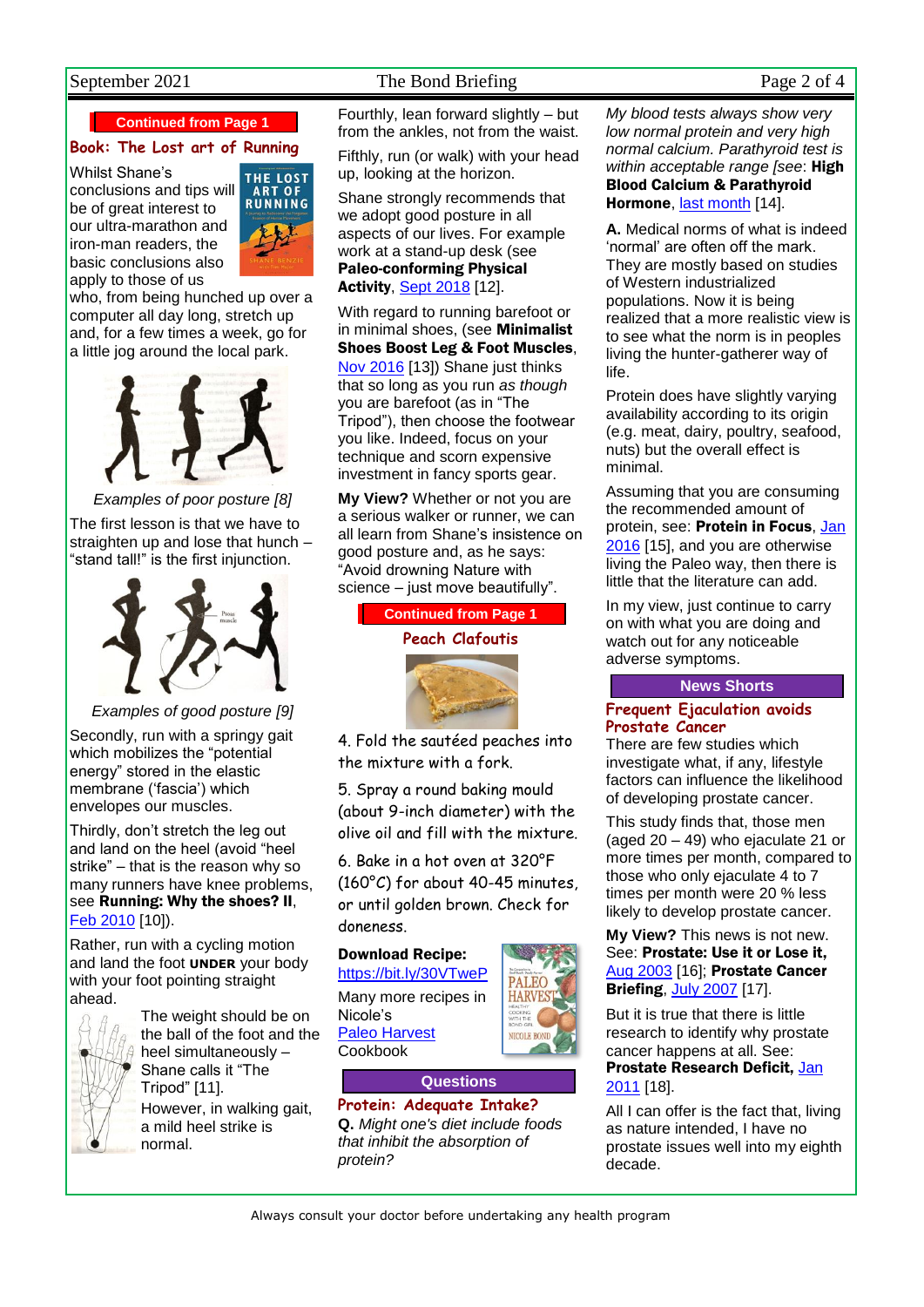## September 2021 The Bond Briefing Page 2 of 4

**Continued from Page 1**

#### **Book: The Lost art of Running**

Whilst Shane's conclusions and tips will be of great interest to our ultra-marathon and iron-man readers, the basic conclusions also apply to those of us



who, from being hunched up over a computer all day long, stretch up and, for a few times a week, go for a little jog around the local park.



*Examples of poor posture [8]*

The first lesson is that we have to straighten up and lose that hunch – "stand tall!" is the first injunction.



*Examples of good posture [9]* Secondly, run with a springy gait which mobilizes the "potential energy" stored in the elastic membrane ('fascia') which envelopes our muscles.

Thirdly, don't stretch the leg out and land on the heel (avoid "heel strike" – that is the reason why so many runners have knee problems, see Running: Why the shoes? II, [Feb 2010](http://www.naturaleater.com/newsletter-archive/NEWS-2010/NEWS-2010-02.pdf) [10]).

Rather, run with a cycling motion and land the foot **UNDER** your body with your foot pointing straight ahead.



The weight should be on the ball of the foot and the heel simultaneously – Shane calls it "The Tripod" [11]. However, in walking gait, a mild heel strike is normal.

Fourthly, lean forward slightly – but from the ankles, not from the waist.

Fifthly, run (or walk) with your head up, looking at the horizon.

Shane strongly recommends that we adopt good posture in all aspects of our lives. For example work at a stand-up desk (see Paleo-conforming Physical Activity, [Sept 2018](http://www.naturaleater.com/newsletter-archive/NEWS-2018/NEWS-2018-09.pdf) [12].

With regard to running barefoot or in minimal shoes, (see Minimalist Shoes Boost Leg & Foot Muscles, [Nov 2016](http://www.naturaleater.com/newsletter-archive/NEWS-2016/NEWS-2016-11.pdf) [13]) Shane just thinks that so long as you run *as though* you are barefoot (as in "The Tripod"), then choose the footwear you like. Indeed, focus on your technique and scorn expensive investment in fancy sports gear.

**My View?** Whether or not you are a serious walker or runner, we can all learn from Shane's insistence on good posture and, as he says: "Avoid drowning Nature with science – just move beautifully".



4. Fold the sautéed peaches into the mixture with a fork.

5. Spray a round baking mould (about 9-inch diameter) with the olive oil and fill with the mixture.

6. Bake in a hot oven at 320°F (160°C) for about 40-45 minutes, or until golden brown. Check for doneness.

#### Download Recipe:

<https://bit.ly/30VTweP> Many more recipes in Nicole's Paleo [Harvest](http://www.paleo-harvest.com/) Cookbook



#### **Questions**

**Protein: Adequate Intake? Q.** *Might one's diet include foods that inhibit the absorption of protein?*

*My blood tests always show very low normal protein and very high normal calcium. Parathyroid test is within acceptable range [see*: High Blood Calcium & Parathyroid Hormone, [last month](https://bit.ly/2YfM5Oz) [14].

**A.** Medical norms of what is indeed 'normal' are often off the mark. They are mostly based on studies of Western industrialized populations. Now it is being realized that a more realistic view is to see what the norm is in peoples living the hunter-gatherer way of life.

Protein does have slightly varying availability according to its origin (e.g. meat, dairy, poultry, seafood, nuts) but the overall effect is minimal.

Assuming that you are consuming the recommended amount of protein, see: Protein in Focus[, Jan](http://www.naturaleater.com/newsletter-archive/NEWS-2016/NEWS-2016-01.pdf)  [2016](http://www.naturaleater.com/newsletter-archive/NEWS-2016/NEWS-2016-01.pdf) [15], and you are otherwise living the Paleo way, then there is little that the literature can add.

In my view, just continue to carry on with what you are doing and watch out for any noticeable adverse symptoms.

#### **News Shorts**

#### **Frequent Ejaculation avoids Prostate Cancer**

There are few studies which investigate what, if any, lifestyle factors can influence the likelihood of developing prostate cancer.

This study finds that, those men (aged 20 – 49) who ejaculate 21 or more times per month, compared to those who only ejaculate 4 to 7 times per month were 20 % less likely to develop prostate cancer.

**My View?** This news is not new. See: Prostate: Use it or Lose it, [Aug 2003](http://www.naturaleater.com/newsletter-archive/NEWS-2003/NEWS-2003-08.pdf) [16]; Prostate Cancer Briefing[, July 2007](http://www.naturaleater.com/newsletter-archive/NEWS-2006/NEWS-2006-07.pdf) [17].

But it is true that there is little research to identify why prostate cancer happens at all. See: Prostate Research Deficit, [Jan](http://www.naturaleater.com/newsletter-archive/NEWS-2011/NEWS-2011-01.pdf)  [2011](http://www.naturaleater.com/newsletter-archive/NEWS-2011/NEWS-2011-01.pdf) [18].

All I can offer is the fact that, living as nature intended, I have no prostate issues well into my eighth decade.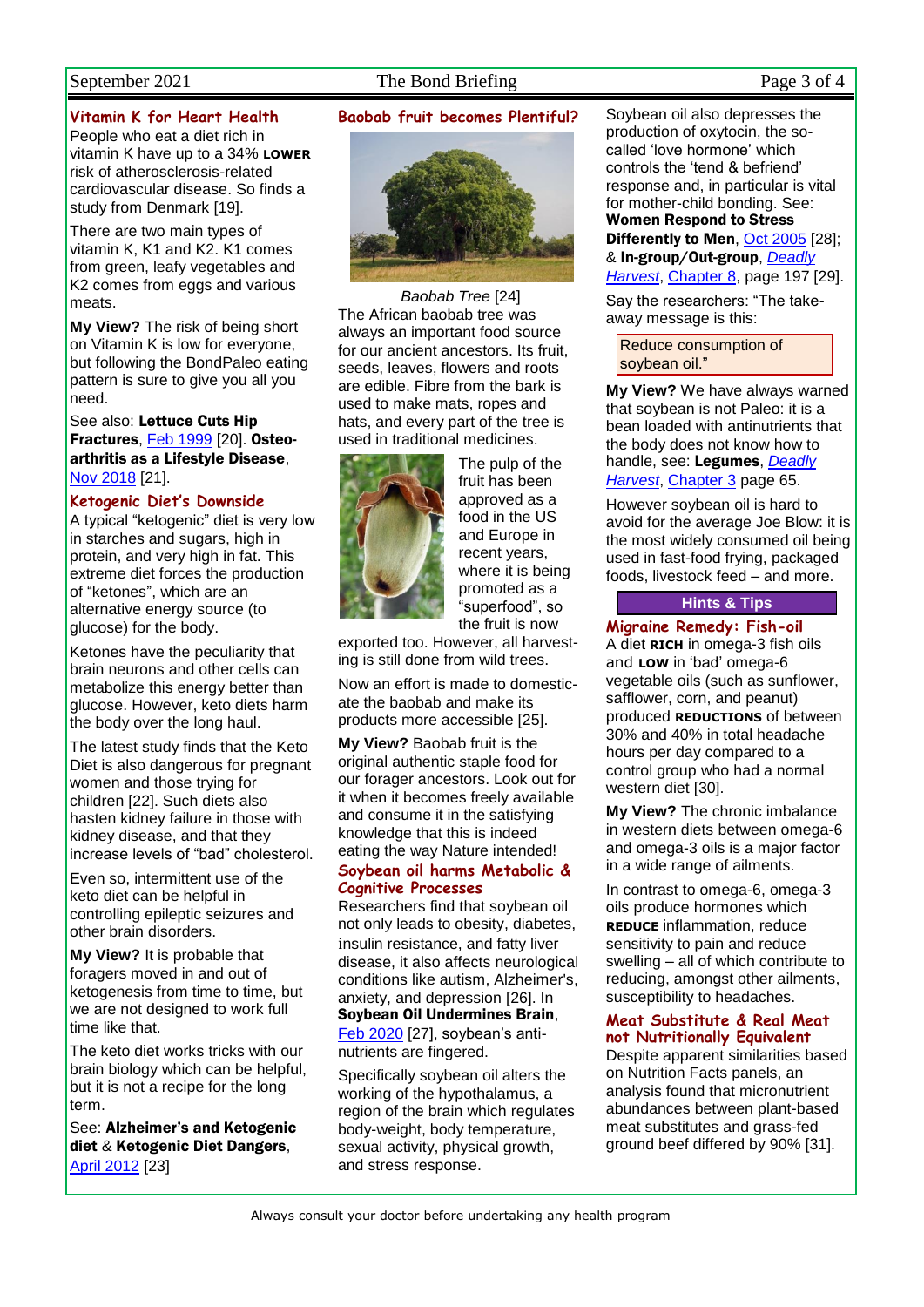#### September 2021 The Bond Briefing Page 3 of 4

#### **Vitamin K for Heart Health**

People who eat a diet rich in vitamin K have up to a 34% **LOWER** risk of atherosclerosis-related cardiovascular disease. So finds a study from Denmark [19].

There are two main types of vitamin K, K1 and K2. K1 comes from green, leafy vegetables and K2 comes from eggs and various meats.

**My View?** The risk of being short on Vitamin K is low for everyone, but following the BondPaleo eating pattern is sure to give you all you need.

See also: Lettuce Cuts Hip Fractures[, Feb 1999](http://www.naturaleater.com/newsletter-archive/NEWS-1999/NEWS-1999-02.pdf) [20]. Osteoarthritis as a Lifestyle Disease, [Nov 2018](http://www.naturaleater.com/NEWSLETTER-ARCHIVE/NEWS-2018/NEWS-2018-11.pdf) [21].

#### **Ketogenic Diet's Downside**

A typical "ketogenic" diet is very low in starches and sugars, high in protein, and very high in fat. This extreme diet forces the production of "ketones", which are an alternative energy source (to glucose) for the body.

Ketones have the peculiarity that brain neurons and other cells can metabolize this energy better than glucose. However, keto diets harm the body over the long haul.

The latest study finds that the Keto Diet is also dangerous for pregnant women and those trying for children [22]. Such diets also hasten kidney failure in those with kidney disease, and that they increase levels of "bad" cholesterol.

Even so, intermittent use of the keto diet can be helpful in controlling epileptic seizures and other brain disorders.

**My View?** It is probable that foragers moved in and out of ketogenesis from time to time, but we are not designed to work full time like that.

The keto diet works tricks with our brain biology which can be helpful, but it is not a recipe for the long term.

See: Alzheimer's and Ketogenic diet & Ketogenic Diet Dangers, [April 2012](http://www.naturaleater.com/newsletter-archive/NEWS-2012/NEWS-2012-04.pdf) [23]

#### **Baobab fruit becomes Plentiful?**



*Baobab Tree* [24] The African baobab tree was always an important food source for our ancient ancestors. Its fruit, seeds, leaves, flowers and roots are edible. Fibre from the bark is used to make mats, ropes and hats, and every part of the tree is used in traditional medicines.



The pulp of the fruit has been approved as a food in the US and Europe in recent years, where it is being promoted as a "superfood", so the fruit is now

exported too. However, all harvesting is still done from wild trees.

Now an effort is made to domesticate the baobab and make its products more accessible [25].

**My View?** Baobab fruit is the original authentic staple food for our forager ancestors. Look out for it when it becomes freely available and consume it in the satisfying knowledge that this is indeed eating the way Nature intended! **Soybean oil harms Metabolic &** 

# **Cognitive Processes**

Researchers find that soybean oil not only leads to obesity, diabetes, insulin resistance, and fatty liver disease, it also affects neurological conditions like autism, Alzheimer's, anxiety, and depression [26]. In Soybean Oil Undermines Brain, [Feb 2020](http://www.naturaleater.com/newsletter-archive/NEWS-2020/NEWS-2020-02.pdf) [27], soybean's anti-

nutrients are fingered.

Specifically soybean oil alters the working of the hypothalamus, a region of the brain which regulates body-weight, body temperature, sexual activity, physical growth, and stress response.

Soybean oil also depresses the production of oxytocin, the socalled 'love hormone' which controls the 'tend & befriend' response and, in particular is vital for mother-child bonding. See: Women Respond to Stress Differently to Men, [Oct 2005](http://www.naturaleater.com/newsletter-archive/NEWS-2005/NEWS-2005-10.pdf) [28]; & In-group/Out-group, *[Deadly](http://www.deadlyharvest.com/)  [Harvest](http://www.deadlyharvest.com/)*, [Chapter 8,](http://www.naturaleater.com/Deadly-Harvest/web-edition/80-Deadly-Harvest-chapter8.htm) page 197 [29].

Say the researchers: "The takeaway message is this:

Reduce consumption of soybean oil."

**My View?** We have always warned that soybean is not Paleo: it is a bean loaded with antinutrients that the body does not know how to handle, see: Legumes, *[Deadly](http://www.deadlyharvest.com/)  [Harvest](http://www.deadlyharvest.com/)*, [Chapter](http://www.naturaleater.com/Deadly-Harvest/Web-Edition/30-Deadly-Harvest-chapter3.htm) 3 page 65.

However soybean oil is hard to avoid for the average Joe Blow: it is the most widely consumed oil being used in fast-food frying, packaged foods, livestock feed – and more.

## **Hints & Tips**

#### **Migraine Remedy: Fish-oil**

A diet **RICH** in omega-3 fish oils and **LOW** in 'bad' omega-6 vegetable oils (such as sunflower, safflower, corn, and peanut) produced **REDUCTIONS** of between 30% and 40% in total headache hours per day compared to a control group who had a normal western diet [30].

**My View?** The chronic imbalance in western diets between omega-6 and omega-3 oils is a major factor in a wide range of ailments.

In contrast to omega-6, omega-3 oils produce hormones which **REDUCE** inflammation, reduce sensitivity to pain and reduce swelling – all of which contribute to reducing, amongst other ailments, susceptibility to headaches.

#### **Meat Substitute & Real Meat not Nutritionally Equivalent**

Despite apparent similarities based on Nutrition Facts panels, an analysis found that micronutrient abundances between plant-based meat substitutes and grass-fed ground beef differed by 90% [31].